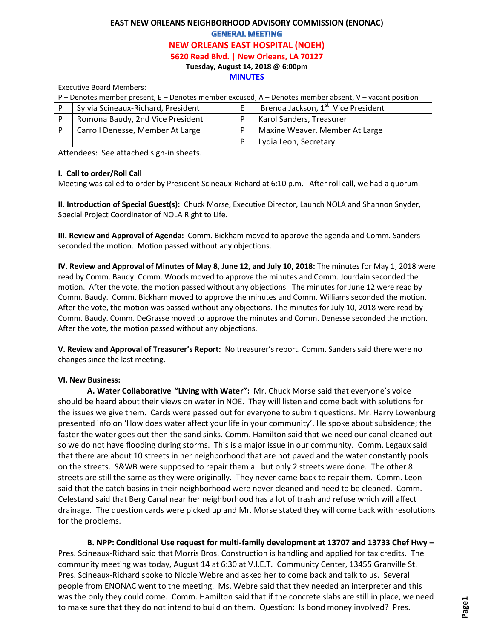# **EAST NEW ORLEANS NEIGHBORHOOD ADVISORY COMMISSION (ENONAC) GENERAL MEETING**

#### **NEW ORLEANS EAST HOSPITAL (NOEH)**

**5620 Read Blvd. | New Orleans, LA 70127**

**Tuesday, August 14, 2018 @ 6:00pm** 

#### **MINUTES**

Executive Board Members:

| P – Denotes member present, E – Denotes member excused, A – Denotes member absent, V – vacant position |                                    |  |                                                |
|--------------------------------------------------------------------------------------------------------|------------------------------------|--|------------------------------------------------|
|                                                                                                        | Sylvia Scineaux-Richard, President |  | Brenda Jackson, 1 <sup>st</sup> Vice President |
|                                                                                                        | Romona Baudy, 2nd Vice President   |  | Karol Sanders, Treasurer                       |
|                                                                                                        | Carroll Denesse, Member At Large   |  | Maxine Weaver, Member At Large                 |
|                                                                                                        |                                    |  | Lydia Leon, Secretary                          |

Attendees: See attached sign-in sheets.

## **I. Call to order/Roll Call**

Meeting was called to order by President Scineaux-Richard at 6:10 p.m. After roll call, we had a quorum.

**II. Introduction of Special Guest(s):** Chuck Morse, Executive Director, Launch NOLA and Shannon Snyder, Special Project Coordinator of NOLA Right to Life.

**III. Review and Approval of Agenda:** Comm. Bickham moved to approve the agenda and Comm. Sanders seconded the motion. Motion passed without any objections.

**IV. Review and Approval of Minutes of May 8, June 12, and July 10, 2018:** The minutes for May 1, 2018 were read by Comm. Baudy. Comm. Woods moved to approve the minutes and Comm. Jourdain seconded the motion. After the vote, the motion passed without any objections. The minutes for June 12 were read by Comm. Baudy. Comm. Bickham moved to approve the minutes and Comm. Williams seconded the motion. After the vote, the motion was passed without any objections. The minutes for July 10, 2018 were read by Comm. Baudy. Comm. DeGrasse moved to approve the minutes and Comm. Denesse seconded the motion. After the vote, the motion passed without any objections.

**V. Review and Approval of Treasurer's Report:** No treasurer's report. Comm. Sanders said there were no changes since the last meeting.

## **VI. New Business:**

**A. Water Collaborative "Living with Water":** Mr. Chuck Morse said that everyone's voice should be heard about their views on water in NOE. They will listen and come back with solutions for the issues we give them. Cards were passed out for everyone to submit questions. Mr. Harry Lowenburg presented info on 'How does water affect your life in your community'. He spoke about subsidence; the faster the water goes out then the sand sinks. Comm. Hamilton said that we need our canal cleaned out so we do not have flooding during storms. This is a major issue in our community. Comm. Legaux said that there are about 10 streets in her neighborhood that are not paved and the water constantly pools on the streets. S&WB were supposed to repair them all but only 2 streets were done. The other 8 streets are still the same as they were originally. They never came back to repair them. Comm. Leon said that the catch basins in their neighborhood were never cleaned and need to be cleaned. Comm. Celestand said that Berg Canal near her neighborhood has a lot of trash and refuse which will affect drainage. The question cards were picked up and Mr. Morse stated they will come back with resolutions for the problems.

**B. NPP: Conditional Use request for multi-family development at 13707 and 13733 Chef Hwy –** Pres. Scineaux-Richard said that Morris Bros. Construction is handling and applied for tax credits. The community meeting was today, August 14 at 6:30 at V.I.E.T. Community Center, 13455 Granville St. Pres. Scineaux-Richard spoke to Nicole Webre and asked her to come back and talk to us. Several people from ENONAC went to the meeting. Ms. Webre said that they needed an interpreter and this was the only they could come. Comm. Hamilton said that if the concrete slabs are still in place, we need to make sure that they do not intend to build on them. Question: Is bond money involved? Pres.